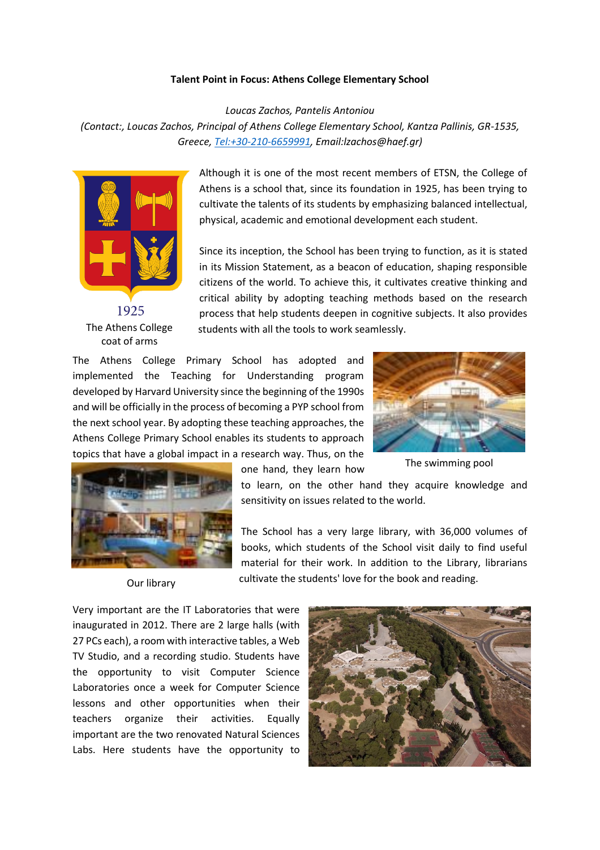## **Talent Point in Focus: Athens College Elementary School**

*Loucas Zachos, Pantelis Antoniou*

*(Contact:, Loucas Zachos, Principal of Athens College Elementary School, Kantza Pallinis, GR-1535, Greece[, Tel:+30-210-6659991,](tel:+30-210-6659991) Email:lzachos@haef.gr)*



1925 The Athens College coat of arms

Although it is one of the most recent members of ETSN, the College of Athens is a school that, since its foundation in 1925, has been trying to cultivate the talents of its students by emphasizing balanced intellectual, physical, academic and emotional development each student.

Since its inception, the School has been trying to function, as it is stated in its Mission Statement, as a beacon of education, shaping responsible citizens of the world. To achieve this, it cultivates creative thinking and critical ability by adopting teaching methods based on the research process that help students deepen in cognitive subjects. It also provides students with all the tools to work seamlessly.

The Athens College Primary School has adopted and implemented the Teaching for Understanding program developed by Harvard University since the beginning of the 1990s and will be officially in the process of becoming a PYP school from the next school year. By adopting these teaching approaches, the Athens College Primary School enables its students to approach topics that have a global impact in a research way. Thus, on the



The swimming pool



Our library

one hand, they learn how

to learn, on the other hand they acquire knowledge and sensitivity on issues related to the world.

The School has a very large library, with 36,000 volumes of books, which students of the School visit daily to find useful material for their work. In addition to the Library, librarians cultivate the students' love for the book and reading.

Very important are the IT Laboratories that were inaugurated in 2012. There are 2 large halls (with 27 PCs each), a room with interactive tables, a Web TV Studio, and a recording studio. Students have the opportunity to visit Computer Science Laboratories once a week for Computer Science lessons and other opportunities when their teachers organize their activities. Equally important are the two renovated Natural Sciences Labs. Here students have the opportunity to

![](_page_0_Picture_15.jpeg)